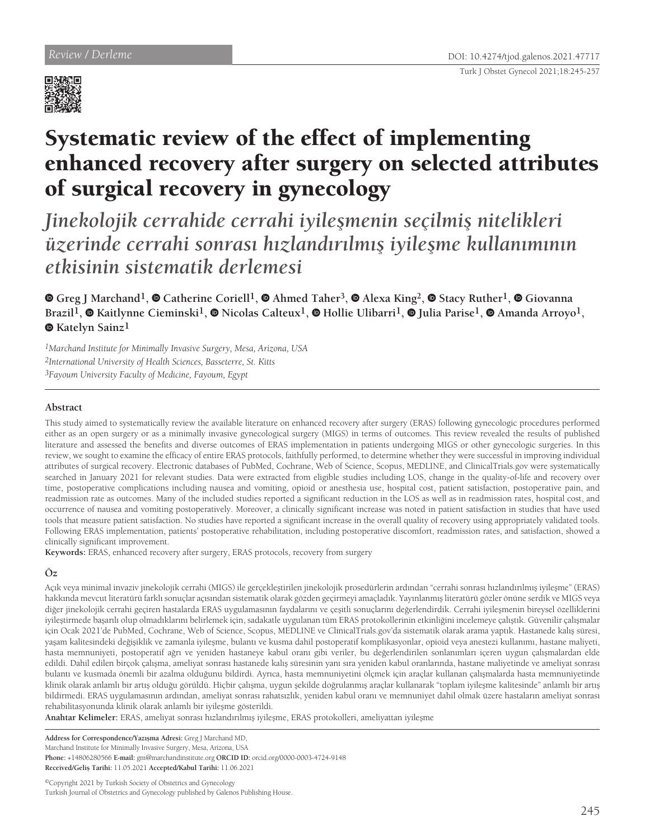

# Systematic review of the effect of implementing enhanced recovery after surgery on selected attributes of surgical recovery in gynecology

*Jinekolojik cerrahide cerrahi iyileşmenin seçilmiş nitelikleri üzerinde cerrahi sonrası hızlandırılmış iyileşme kullanımının etkisinin sistematik derlemesi*

**Greg J Marchand1,Catherine Coriell1,Ahmed Taher3,Alexa King2,Stacy Ruther1,Giovanna Brazil1,Kaitlynne Cieminski1,Nicolas Calteux1,Hollie Ulibarri1,Julia Parise1,Amanda Arroyo1, Katelyn Sainz1**

*1Marchand Institute for Minimally Invasive Surgery, Mesa, Arizona, USA 2International University of Health Sciences, Basseterre, St. Kitts*

*3Fayoum University Faculty of Medicine, Fayoum, Egypt*

## **Abstract**

This study aimed to systematically review the available literature on enhanced recovery after surgery (ERAS) following gynecologic procedures performed either as an open surgery or as a minimally invasive gynecological surgery (MIGS) in terms of outcomes. This review revealed the results of published literature and assessed the benefits and diverse outcomes of ERAS implementation in patients undergoing MIGS or other gynecologic surgeries. In this review, we sought to examine the efficacy of entire ERAS protocols, faithfully performed, to determine whether they were successful in improving individual attributes of surgical recovery. Electronic databases of PubMed, Cochrane, Web of Science, Scopus, MEDLINE, and ClinicalTrials.gov were systematically searched in January 2021 for relevant studies. Data were extracted from eligible studies including LOS, change in the quality-of-life and recovery over time, postoperative complications including nausea and vomiting, opioid or anesthesia use, hospital cost, patient satisfaction, postoperative pain, and readmission rate as outcomes. Many of the included studies reported a significant reduction in the LOS as well as in readmission rates, hospital cost, and occurrence of nausea and vomiting postoperatively. Moreover, a clinically significant increase was noted in patient satisfaction in studies that have used tools that measure patient satisfaction. No studies have reported a significant increase in the overall quality of recovery using appropriately validated tools. Following ERAS implementation, patients' postoperative rehabilitation, including postoperative discomfort, readmission rates, and satisfaction, showed a clinically significant improvement.

**Keywords:** ERAS, enhanced recovery after surgery, ERAS protocols, recovery from surgery

# **Öz**

Açık veya minimal invaziv jinekolojik cerrahi (MIGS) ile gerçekleştirilen jinekolojik prosedürlerin ardından "cerrahi sonrası hızlandırılmış iyileşme" (ERAS) hakkında mevcut literatürü farklı sonuçlar açısından sistematik olarak gözden geçirmeyi amaçladık. Yayınlanmış literatürü gözler önüne serdik ve MIGS veya diğer jinekolojik cerrahi geçiren hastalarda ERAS uygulamasının faydalarını ve çeşitli sonuçlarını değerlendirdik. Cerrahi iyileşmenin bireysel özelliklerini iyileştirmede başarılı olup olmadıklarını belirlemek için, sadakatle uygulanan tüm ERAS protokollerinin etkinliğini incelemeye çalıştık. Güvenilir çalışmalar için Ocak 2021'de PubMed, Cochrane, Web of Science, Scopus, MEDLINE ve ClinicalTrials.gov'da sistematik olarak arama yaptık. Hastanede kalış süresi, yaşam kalitesindeki değişiklik ve zamanla iyileşme, bulantı ve kusma dahil postoperatif komplikasyonlar, opioid veya anestezi kullanımı, hastane maliyeti, hasta memnuniyeti, postoperatif ağrı ve yeniden hastaneye kabul oranı gibi veriler, bu değerlendirilen sonlanımları içeren uygun çalışmalardan elde edildi. Dahil edilen birçok çalışma, ameliyat sonrası hastanede kalış süresinin yanı sıra yeniden kabul oranlarında, hastane maliyetinde ve ameliyat sonrası bulantı ve kusmada önemli bir azalma olduğunu bildirdi. Ayrıca, hasta memnuniyetini ölçmek için araçlar kullanan çalışmalarda hasta memnuniyetinde klinik olarak anlamlı bir artış olduğu görüldü. Hiçbir çalışma, uygun şekilde doğrulanmış araçlar kullanarak "toplam iyileşme kalitesinde" anlamlı bir artış bildirmedi. ERAS uygulamasının ardından, ameliyat sonrası rahatsızlık, yeniden kabul oranı ve memnuniyet dahil olmak üzere hastaların ameliyat sonrası rehabilitasyonunda klinik olarak anlamlı bir iyileşme gösterildi.

**Anahtar Kelimeler:** ERAS, ameliyat sonrası hızlandırılmış iyileşme, ERAS protokolleri, ameliyattan iyileşme

**Address for Correspondence/Yazışma Adresi:** Greg J Marchand MD,

Marchand Institute for Minimally Invasive Surgery, Mesa, Arizona, USA

**Phone:** +14806280566 **E-mail:** gm@marchandinstitute.org **ORCID ID:** orcid.org/0000-0003-4724-9148

**Received/Geliş Tarihi:** 11.05.2021 **Accepted/Kabul Tarihi:** 11.06.2021

©Copyright 2021 by Turkish Society of Obstetrics and Gynecology Turkish Journal of Obstetrics and Gynecology published by Galenos Publishing House.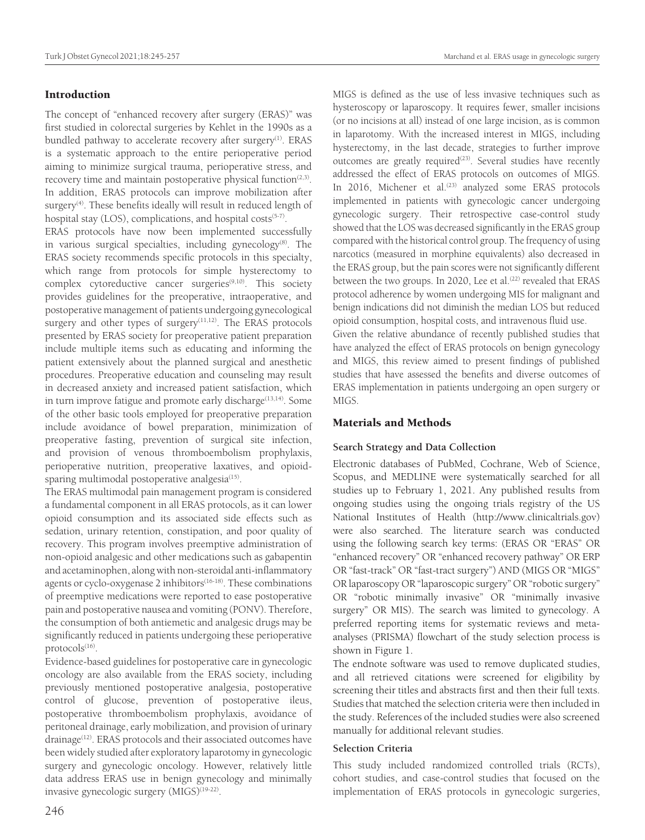## Turk J Obstet Gynecol 2021;18:245-257 Marchand et al. ERAS usage in gynecologic surgery

## Introduction

The concept of "enhanced recovery after surgery (ERAS)" was first studied in colorectal surgeries by Kehlet in the 1990s as a bundled pathway to accelerate recovery after surgery<sup>(1)</sup>. ERAS is a systematic approach to the entire perioperative period aiming to minimize surgical trauma, perioperative stress, and recovery time and maintain postoperative physical function $(2,3)$ . In addition, ERAS protocols can improve mobilization after surgery<sup>(4)</sup>. These benefits ideally will result in reduced length of hospital stay (LOS), complications, and hospital costs<sup>(5-7)</sup>.

ERAS protocols have now been implemented successfully in various surgical specialties, including gynecology<sup>(8)</sup>. The ERAS society recommends specific protocols in this specialty, which range from protocols for simple hysterectomy to complex cytoreductive cancer surgeries $(9,10)$ . This society provides guidelines for the preoperative, intraoperative, and postoperative management of patients undergoing gynecological surgery and other types of surgery $(11,12)$ . The ERAS protocols presented by ERAS society for preoperative patient preparation include multiple items such as educating and informing the patient extensively about the planned surgical and anesthetic procedures. Preoperative education and counseling may result in decreased anxiety and increased patient satisfaction, which in turn improve fatigue and promote early discharge $(13,14)$ . Some of the other basic tools employed for preoperative preparation include avoidance of bowel preparation, minimization of preoperative fasting, prevention of surgical site infection, and provision of venous thromboembolism prophylaxis, perioperative nutrition, preoperative laxatives, and opioidsparing multimodal postoperative analgesia $(15)$ .

The ERAS multimodal pain management program is considered a fundamental component in all ERAS protocols, as it can lower opioid consumption and its associated side effects such as sedation, urinary retention, constipation, and poor quality of recovery. This program involves preemptive administration of non-opioid analgesic and other medications such as gabapentin and acetaminophen, along with non-steroidal anti-inflammatory agents or cyclo-oxygenase 2 inhibitors<sup>(16-18)</sup>. These combinations of preemptive medications were reported to ease postoperative pain and postoperative nausea and vomiting (PONV). Therefore, the consumption of both antiemetic and analgesic drugs may be significantly reduced in patients undergoing these perioperative protocols<sup>(16)</sup>.

Evidence-based guidelines for postoperative care in gynecologic oncology are also available from the ERAS society, including previously mentioned postoperative analgesia, postoperative control of glucose, prevention of postoperative ileus, postoperative thromboembolism prophylaxis, avoidance of peritoneal drainage, early mobilization, and provision of urinary drainage<sup>(12)</sup>. ERAS protocols and their associated outcomes have been widely studied after exploratory laparotomy in gynecologic surgery and gynecologic oncology. However, relatively little data address ERAS use in benign gynecology and minimally invasive gynecologic surgery (MIGS)<sup>(19-22)</sup>.

MIGS is defined as the use of less invasive techniques such as hysteroscopy or laparoscopy. It requires fewer, smaller incisions (or no incisions at all) instead of one large incision, as is common in laparotomy. With the increased interest in MIGS, including hysterectomy, in the last decade, strategies to further improve outcomes are greatly required<sup>(23)</sup>. Several studies have recently addressed the effect of ERAS protocols on outcomes of MIGS. In 2016, Michener et al.<sup>(23)</sup> analyzed some ERAS protocols implemented in patients with gynecologic cancer undergoing gynecologic surgery. Their retrospective case-control study showed that the LOS was decreased significantly in the ERAS group compared with the historical control group. The frequency of using narcotics (measured in morphine equivalents) also decreased in the ERAS group, but the pain scores were not significantly different between the two groups. In 2020, Lee et al.<sup>(22)</sup> revealed that ERAS protocol adherence by women undergoing MIS for malignant and benign indications did not diminish the median LOS but reduced opioid consumption, hospital costs, and intravenous fluid use. Given the relative abundance of recently published studies that have analyzed the effect of ERAS protocols on benign gynecology

and MIGS, this review aimed to present findings of published studies that have assessed the benefits and diverse outcomes of ERAS implementation in patients undergoing an open surgery or MIGS.

## Materials and Methods

## **Search Strategy and Data Collection**

Electronic databases of PubMed, Cochrane, Web of Science, Scopus, and MEDLINE were systematically searched for all studies up to February 1, 2021. Any published results from ongoing studies using the ongoing trials registry of the US National Institutes of Health (http://www.clinicaltrials.gov) were also searched. The literature search was conducted using the following search key terms: (ERAS OR "ERAS" OR "enhanced recovery" OR "enhanced recovery pathway" OR ERP OR "fast-track" OR "fast-tract surgery") AND (MIGS OR "MIGS" OR laparoscopy OR "laparoscopic surgery" OR "robotic surgery" OR "robotic minimally invasive" OR "minimally invasive surgery" OR MIS). The search was limited to gynecology. A preferred reporting items for systematic reviews and metaanalyses (PRISMA) flowchart of the study selection process is shown in Figure 1.

The endnote software was used to remove duplicated studies, and all retrieved citations were screened for eligibility by screening their titles and abstracts first and then their full texts. Studies that matched the selection criteria were then included in the study. References of the included studies were also screened manually for additional relevant studies.

## **Selection Criteria**

This study included randomized controlled trials (RCTs), cohort studies, and case-control studies that focused on the implementation of ERAS protocols in gynecologic surgeries,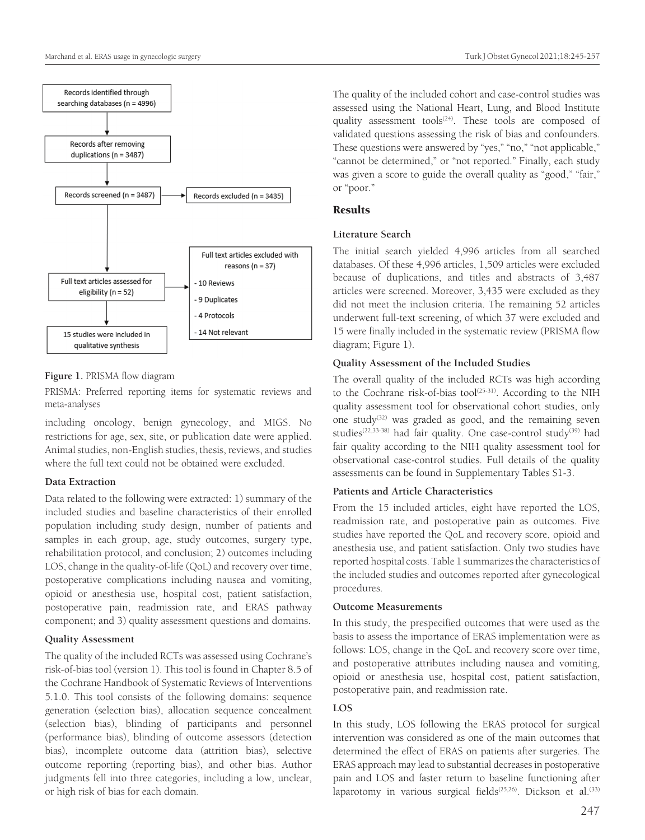

## **Figure 1.** PRISMA flow diagram

PRISMA: Preferred reporting items for systematic reviews and meta-analyses

including oncology, benign gynecology, and MIGS. No restrictions for age, sex, site, or publication date were applied. Animal studies, non-English studies, thesis, reviews, and studies where the full text could not be obtained were excluded.

## **Data Extraction**

Data related to the following were extracted: 1) summary of the included studies and baseline characteristics of their enrolled population including study design, number of patients and samples in each group, age, study outcomes, surgery type, rehabilitation protocol, and conclusion; 2) outcomes including LOS, change in the quality-of-life (QoL) and recovery over time, postoperative complications including nausea and vomiting, opioid or anesthesia use, hospital cost, patient satisfaction, postoperative pain, readmission rate, and ERAS pathway component; and 3) quality assessment questions and domains.

## **Quality Assessment**

The quality of the included RCTs was assessed using Cochrane's risk-of-bias tool (version 1). This tool is found in Chapter 8.5 of the Cochrane Handbook of Systematic Reviews of Interventions 5.1.0. This tool consists of the following domains: sequence generation (selection bias), allocation sequence concealment (selection bias), blinding of participants and personnel (performance bias), blinding of outcome assessors (detection bias), incomplete outcome data (attrition bias), selective outcome reporting (reporting bias), and other bias. Author judgments fell into three categories, including a low, unclear, or high risk of bias for each domain.

The quality of the included cohort and case-control studies was assessed using the National Heart, Lung, and Blood Institute quality assessment tools<sup> $(24)$ </sup>. These tools are composed of validated questions assessing the risk of bias and confounders. These questions were answered by "yes," "no," "not applicable," "cannot be determined," or "not reported." Finally, each study was given a score to guide the overall quality as "good," "fair," or "poor."

# **Results**

# **Literature Search**

The initial search yielded 4,996 articles from all searched databases. Of these 4,996 articles, 1,509 articles were excluded because of duplications, and titles and abstracts of 3,487 articles were screened. Moreover, 3,435 were excluded as they did not meet the inclusion criteria. The remaining 52 articles underwent full-text screening, of which 37 were excluded and 15 were finally included in the systematic review (PRISMA flow diagram; Figure 1).

# **Quality Assessment of the Included Studies**

The overall quality of the included RCTs was high according to the Cochrane risk-of-bias tool<sup>(25-31)</sup>. According to the NIH quality assessment tool for observational cohort studies, only one study<sup>(32)</sup> was graded as good, and the remaining seven studies<sup>(22,33-38)</sup> had fair quality. One case-control study<sup>(39)</sup> had fair quality according to the NIH quality assessment tool for observational case-control studies. Full details of the quality assessments can be found in Supplementary Tables S1-3.

# **Patients and Article Characteristics**

From the 15 included articles, eight have reported the LOS, readmission rate, and postoperative pain as outcomes. Five studies have reported the QoL and recovery score, opioid and anesthesia use, and patient satisfaction. Only two studies have reported hospital costs. Table 1 summarizes the characteristics of the included studies and outcomes reported after gynecological procedures.

# **Outcome Measurements**

In this study, the prespecified outcomes that were used as the basis to assess the importance of ERAS implementation were as follows: LOS, change in the QoL and recovery score over time, and postoperative attributes including nausea and vomiting, opioid or anesthesia use, hospital cost, patient satisfaction, postoperative pain, and readmission rate.

# **LOS**

In this study, LOS following the ERAS protocol for surgical intervention was considered as one of the main outcomes that determined the effect of ERAS on patients after surgeries. The ERAS approach may lead to substantial decreases in postoperative pain and LOS and faster return to baseline functioning after laparotomy in various surgical fields<sup> $(25,26)$ </sup>. Dickson et al.<sup>(33)</sup>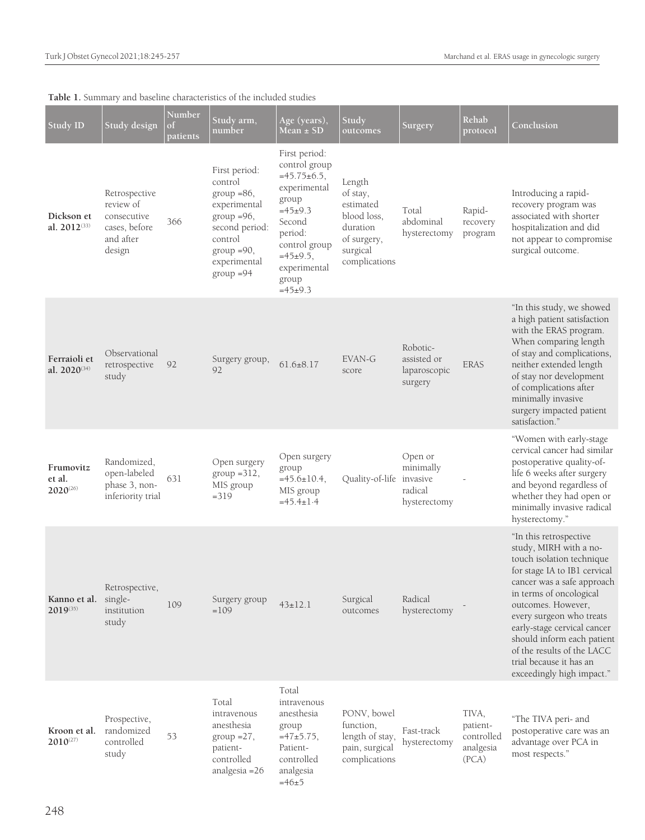| <b>Study ID</b>                      | Study design                                                                      | Number<br>of<br>patients | Study arm,<br>number                                                                                                                                      | Age (years),<br>Mean $\pm$ SD                                                                                                                                                             | Study<br>outcomes                                                                                      | Surgery                                                     | Rehab<br>protocol                                     | Conclusion                                                                                                                                                                                                                                                                                                                                                                  |
|--------------------------------------|-----------------------------------------------------------------------------------|--------------------------|-----------------------------------------------------------------------------------------------------------------------------------------------------------|-------------------------------------------------------------------------------------------------------------------------------------------------------------------------------------------|--------------------------------------------------------------------------------------------------------|-------------------------------------------------------------|-------------------------------------------------------|-----------------------------------------------------------------------------------------------------------------------------------------------------------------------------------------------------------------------------------------------------------------------------------------------------------------------------------------------------------------------------|
| Dickson et<br>al. 2012(33)           | Retrospective<br>review of<br>consecutive<br>cases, before<br>and after<br>design | 366                      | First period:<br>control<br>$group = 86$ ,<br>experimental<br>$group = 96,$<br>second period:<br>control<br>$group = 90,$<br>experimental<br>$group = 94$ | First period:<br>control group<br>$=45.75\pm6.5$ ,<br>experimental<br>group<br>$=45\pm9.3$<br>Second<br>period:<br>control group<br>$=45\pm9.5$ ,<br>experimental<br>group<br>$=45\pm9.3$ | Length<br>of stay,<br>estimated<br>blood loss,<br>duration<br>of surgery,<br>surgical<br>complications | Total<br>abdominal<br>hysterectomy                          | Rapid-<br>recovery<br>program                         | Introducing a rapid-<br>recovery program was<br>associated with shorter<br>hospitalization and did<br>not appear to compromise<br>surgical outcome.                                                                                                                                                                                                                         |
| Ferraioli et<br>al. 2020(34)         | Observational<br>retrospective<br>study                                           | 92                       | Surgery group,<br>92                                                                                                                                      | $61.6 \pm 8.17$                                                                                                                                                                           | EVAN-G<br>score                                                                                        | Robotic-<br>assisted or<br>laparoscopic<br>surgery          | <b>ERAS</b>                                           | "In this study, we showed<br>a high patient satisfaction<br>with the ERAS program.<br>When comparing length<br>of stay and complications,<br>neither extended length<br>of stay nor development<br>of complications after<br>minimally invasive<br>surgery impacted patient<br>satisfaction."                                                                               |
| Frumovitz<br>et al.<br>$2020^{(26)}$ | Randomized,<br>open-labeled<br>phase 3, non-<br>inferiority trial                 | 631                      | Open surgery<br>$group = 312,$<br>MIS group<br>$=319$                                                                                                     | Open surgery<br>group<br>$=45.6 \pm 10.4$ ,<br>MIS group<br>$=45.4 \pm 1.4$                                                                                                               | Quality-of-life                                                                                        | Open or<br>minimally<br>invasive<br>radical<br>hysterectomy |                                                       | "Women with early-stage<br>cervical cancer had similar<br>postoperative quality-of-<br>life 6 weeks after surgery<br>and beyond regardless of<br>whether they had open or<br>minimally invasive radical<br>hysterectomy."                                                                                                                                                   |
| Kanno et al.<br>2019(35)             | Retrospective,<br>single-<br>institution<br>study                                 | 109                      | Surgery group<br>$=109$                                                                                                                                   | $43 \pm 12.1$                                                                                                                                                                             | Surgical<br>outcomes                                                                                   | Radical<br>hysterectomy                                     |                                                       | "In this retrospective<br>study, MIRH with a no-<br>touch isolation technique<br>for stage IA to IB1 cervical<br>cancer was a safe approach<br>in terms of oncological<br>outcomes. However,<br>every surgeon who treats<br>early-stage cervical cancer<br>should inform each patient<br>of the results of the LACC<br>trial because it has an<br>exceedingly high impact." |
| Kroon et al.<br>$2010^{(27)}$        | Prospective,<br>randomized<br>controlled<br>study                                 | 53                       | Total<br>intravenous<br>anesthesia<br>$group = 27,$<br>patient-<br>controlled<br>analgesia = 26                                                           | Total<br>intravenous<br>anesthesia<br>group<br>$=47\pm5.75$ ,<br>Patient-<br>controlled<br>analgesia<br>$=46+5$                                                                           | PONV, bowel<br>function,<br>length of stay,<br>pain, surgical<br>complications                         | Fast-track<br>hysterectomy                                  | TIVA,<br>patient-<br>controlled<br>analgesia<br>(PCA) | "The TIVA peri- and<br>postoperative care was an<br>advantage over PCA in<br>most respects."                                                                                                                                                                                                                                                                                |

# **Table 1.** Summary and baseline characteristics of the included studies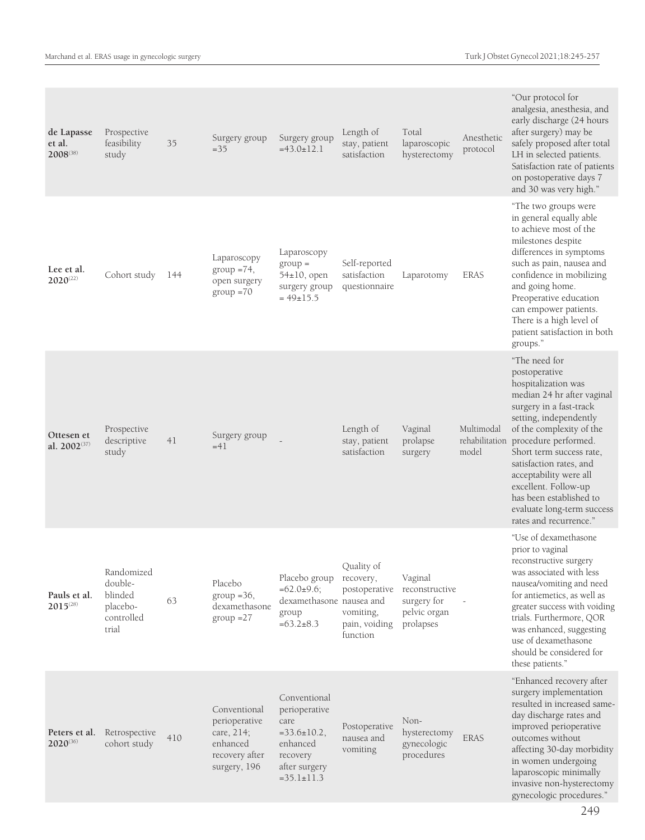| de Lapasse<br>et al.<br>2008(38)       | Prospective<br>feasibility<br>study                                 | 35  | Surgery group<br>$=35$                                                                    | Surgery group<br>$=43.0 \pm 12.1$                                                                                        | Length of<br>stay, patient<br>satisfaction                                         | Total<br>laparoscopic<br>hysterectomy                                 | Anesthetic<br>protocol | "Our protocol for<br>analgesia, anesthesia, and<br>early discharge (24 hours<br>after surgery) may be<br>safely proposed after total<br>LH in selected patients.<br>Satisfaction rate of patients<br>on postoperative days 7<br>and 30 was very high."                                                                                                                                                  |
|----------------------------------------|---------------------------------------------------------------------|-----|-------------------------------------------------------------------------------------------|--------------------------------------------------------------------------------------------------------------------------|------------------------------------------------------------------------------------|-----------------------------------------------------------------------|------------------------|---------------------------------------------------------------------------------------------------------------------------------------------------------------------------------------------------------------------------------------------------------------------------------------------------------------------------------------------------------------------------------------------------------|
| Lee et al.<br>$2020^{(22)}$            | Cohort study                                                        | 144 | Laparoscopy<br>$group = 74,$<br>open surgery<br>$group = 70$                              | Laparoscopy<br>$group =$<br>54±10, open<br>surgery group<br>$= 49 \pm 15.5$                                              | Self-reported<br>satisfaction<br>questionnaire                                     | Laparotomy                                                            | <b>ERAS</b>            | "The two groups were<br>in general equally able<br>to achieve most of the<br>milestones despite<br>differences in symptoms<br>such as pain, nausea and<br>confidence in mobilizing<br>and going home.<br>Preoperative education<br>can empower patients.<br>There is a high level of<br>patient satisfaction in both<br>groups."                                                                        |
| Ottesen et<br>al. 2002 <sup>(37)</sup> | Prospective<br>descriptive<br>study                                 | 41  | Surgery group<br>$=41$                                                                    |                                                                                                                          | Length of<br>stay, patient<br>satisfaction                                         | Vaginal<br>prolapse<br>surgery                                        | Multimodal<br>model    | "The need for<br>postoperative<br>hospitalization was<br>median 24 hr after vaginal<br>surgery in a fast-track<br>setting, independently<br>of the complexity of the<br>rehabilitation procedure performed.<br>Short term success rate,<br>satisfaction rates, and<br>acceptability were all<br>excellent. Follow-up<br>has been established to<br>evaluate long-term success<br>rates and recurrence." |
| Pauls et al.<br>$2015^{(28)}$          | Randomized<br>double-<br>blinded<br>placebo-<br>controlled<br>trial | 63  | Placebo<br>$group = 36,$<br>dexamethasone<br>$group = 27$                                 | Placebo group<br>$=62.0\pm9.6;$<br>dexamethasone nausea and<br>group<br>$=63.2 \pm 8.3$                                  | Quality of<br>recovery,<br>postoperative<br>vomiting,<br>pain, voiding<br>function | Vaginal<br>reconstructive<br>surgery for<br>pelvic organ<br>prolapses |                        | "Use of dexamethasone<br>prior to vaginal<br>reconstructive surgery<br>was associated with less<br>nausea/vomiting and need<br>for antiemetics, as well as<br>greater success with voiding<br>trials. Furthermore, QOR<br>was enhanced, suggesting<br>use of dexamethasone<br>should be considered for<br>these patients."                                                                              |
| Peters et al.<br>$2020^{(36)}$         | Retrospective<br>cohort study                                       | 410 | Conventional<br>perioperative<br>care, 214;<br>enhanced<br>recovery after<br>surgery, 196 | Conventional<br>perioperative<br>care<br>$=33.6 \pm 10.2$ ,<br>enhanced<br>recovery<br>after surgery<br>$=35.1 \pm 11.3$ | Postoperative<br>nausea and<br>vomiting                                            | Non-<br>hysterectomy<br>gynecologic<br>procedures                     | <b>ERAS</b>            | "Enhanced recovery after<br>surgery implementation<br>resulted in increased same-<br>day discharge rates and<br>improved perioperative<br>outcomes without<br>affecting 30-day morbidity<br>in women undergoing<br>laparoscopic minimally<br>invasive non-hysterectomy<br>gynecologic procedures."                                                                                                      |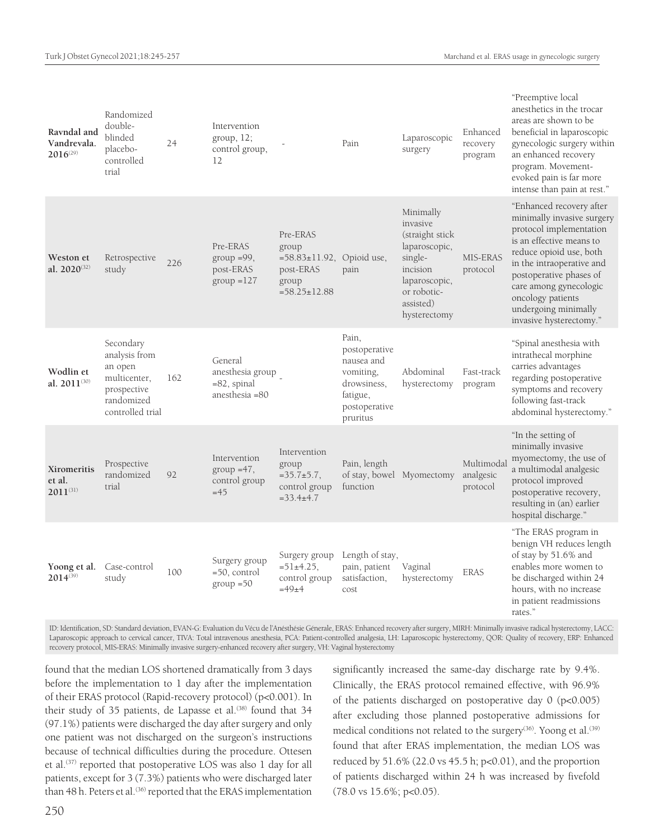|        | Ravndal and<br>Vandrevala.<br>$2016^{(29)}$ | Randomized<br>double-<br>blinded<br>placebo-<br>controlled<br>trial                                    | 24  | Intervention<br>group, 12;<br>control group,<br>12               |                                                                                                   | Pain                                                                                                      | Laparoscopic<br>surgery                                                                                                                        | Enhanced<br>recovery<br>program    | "Preemptive local<br>anesthetics in the trocar<br>areas are shown to be<br>beneficial in laparoscopic<br>gynecologic surgery within<br>an enhanced recovery<br>program. Movement-<br>evoked pain is far more<br>intense than pain at rest."                                                        |
|--------|---------------------------------------------|--------------------------------------------------------------------------------------------------------|-----|------------------------------------------------------------------|---------------------------------------------------------------------------------------------------|-----------------------------------------------------------------------------------------------------------|------------------------------------------------------------------------------------------------------------------------------------------------|------------------------------------|----------------------------------------------------------------------------------------------------------------------------------------------------------------------------------------------------------------------------------------------------------------------------------------------------|
|        | Weston et<br>al. 2020(32)                   | Retrospective<br>study                                                                                 | 226 | Pre-ERAS<br>$group = 99,$<br>post-ERAS<br>$group = 127$          | Pre-ERAS<br>group<br>$=58.83 \pm 11.92$ , Opioid use,<br>post-ERAS<br>group<br>$=58.25 \pm 12.88$ | pain                                                                                                      | Minimally<br>invasive<br>(straight stick)<br>laparoscopic,<br>single-<br>incision<br>laparoscopic,<br>or robotic-<br>assisted)<br>hysterectomy | MIS-ERAS<br>protocol               | "Enhanced recovery after<br>minimally invasive surgery<br>protocol implementation<br>is an effective means to<br>reduce opioid use, both<br>in the intraoperative and<br>postoperative phases of<br>care among gynecologic<br>oncology patients<br>undergoing minimally<br>invasive hysterectomy." |
|        | Wodlin et<br>al. 2011(30)                   | Secondary<br>analysis from<br>an open<br>multicenter,<br>prospective<br>randomized<br>controlled trial | 162 | General<br>anesthesia group<br>$= 82$ , spinal<br>anesthesia =80 |                                                                                                   | Pain,<br>postoperative<br>nausea and<br>vomiting,<br>drowsiness.<br>fatigue,<br>postoperative<br>pruritus | Abdominal<br>hysterectomy                                                                                                                      | Fast-track<br>program              | "Spinal anesthesia with<br>intrathecal morphine<br>carries advantages<br>regarding postoperative<br>symptoms and recovery<br>following fast-track<br>abdominal hysterectomy."                                                                                                                      |
| et al. | Xiromeritis<br>$2011^{(31)}$                | Prospective<br>randomized<br>trial                                                                     | 92  | Intervention<br>group $=47$ ,<br>control group<br>$=45$          | Intervention<br>group<br>$=35.7+5.7$ ,<br>control group<br>$=33.4\pm4.7$                          | Pain, length<br>function                                                                                  | of stay, bowel Myomectomy                                                                                                                      | Multimoda<br>analgesic<br>protocol | "In the setting of<br>minimally invasive<br>myomectomy, the use of<br>a multimodal analgesic<br>protocol improved<br>postoperative recovery,<br>resulting in (an) earlier<br>hospital discharge."                                                                                                  |
|        | Yoong et al.<br>$2014^{(39)}$               | Case-control<br>study                                                                                  | 100 | Surgery group<br>$=50$ , control<br>$group = 50$                 | Surgery group<br>$=51\pm4.25$ .<br>control group<br>$=49+4$                                       | Length of stay,<br>pain, patient<br>satisfaction,<br>cost                                                 | Vaginal<br>hysterectomy                                                                                                                        | <b>ERAS</b>                        | "The ERAS program in<br>benign VH reduces length<br>of stay by 51.6% and<br>enables more women to<br>be discharged within 24<br>hours, with no increase<br>in patient readmissions<br>rates."                                                                                                      |

ID: Identification, SD: Standard deviation, EVAN-G: Evaluation du Vécu de l'Anésthésie Génerale, ERAS: Enhanced recovery after surgery, MIRH: Minimally invasive radical hysterectomy, LACC: Laparoscopic approach to cervical cancer, TIVA: Total intravenous anesthesia, PCA: Patient-controlled analgesia, LH: Laparoscopic hysterectomy, QOR: Quality of recovery, ERP: Enhanced recovery protocol, MIS-ERAS: Minimally invasive surgery-enhanced recovery after surgery, VH: Vaginal hysterectomy

found that the median LOS shortened dramatically from 3 days before the implementation to 1 day after the implementation of their ERAS protocol (Rapid-recovery protocol) (p<0.001). In their study of 35 patients, de Lapasse et al.<sup>(38)</sup> found that 34 (97.1%) patients were discharged the day after surgery and only one patient was not discharged on the surgeon's instructions because of technical difficulties during the procedure. Ottesen et al.<sup>(37)</sup> reported that postoperative LOS was also 1 day for all patients, except for 3 (7.3%) patients who were discharged later than 48 h. Peters et al.<sup>(36)</sup> reported that the ERAS implementation

significantly increased the same-day discharge rate by 9.4%. Clinically, the ERAS protocol remained effective, with 96.9% of the patients discharged on postoperative day 0 (p<0.005) after excluding those planned postoperative admissions for medical conditions not related to the surgery<sup>(36)</sup>. Yoong et al.<sup>(39)</sup> found that after ERAS implementation, the median LOS was reduced by 51.6% (22.0 vs 45.5 h; p<0.01), and the proportion of patients discharged within 24 h was increased by fivefold (78.0 vs 15.6%; p<0.05).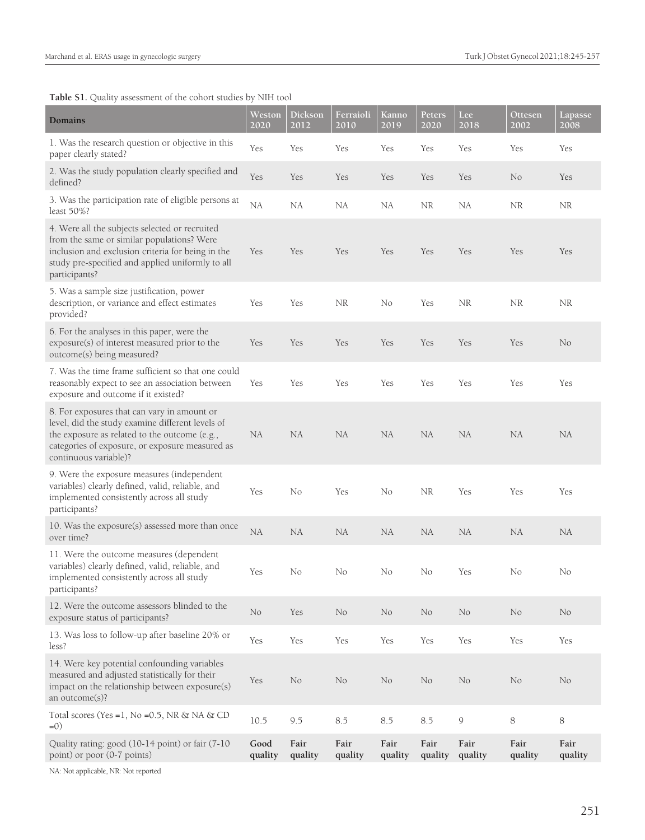**Table S1.** Quality assessment of the cohort studies by NIH tool

| Domains                                                                                                                                                                                                                      | Weston<br>2020  | Dickson<br>2012 | Ferraioli<br>2010 | Kanno<br>2019   | Peters<br>2020  | Lee:<br>2018    | Ottesen<br>2002 | Lapasse<br>$\frac{2008}{ }$ |
|------------------------------------------------------------------------------------------------------------------------------------------------------------------------------------------------------------------------------|-----------------|-----------------|-------------------|-----------------|-----------------|-----------------|-----------------|-----------------------------|
| 1. Was the research question or objective in this<br>paper clearly stated?                                                                                                                                                   | Yes             | Yes             | Yes               | Yes             | Yes             | Yes             | Yes             | Yes                         |
| 2. Was the study population clearly specified and<br>defined?                                                                                                                                                                | Yes             | Yes             | Yes               | Yes             | Yes             | Yes             | No              | Yes                         |
| 3. Was the participation rate of eligible persons at<br>least 50%?                                                                                                                                                           | NA              | NA              | NA                | NA              | <b>NR</b>       | NA              | NR              | <b>NR</b>                   |
| 4. Were all the subjects selected or recruited<br>from the same or similar populations? Were<br>inclusion and exclusion criteria for being in the<br>study pre-specified and applied uniformly to all<br>participants?       | Yes             | Yes             | Yes               | Yes             | Yes             | Yes             | Yes             | Yes                         |
| 5. Was a sample size justification, power<br>description, or variance and effect estimates<br>provided?                                                                                                                      | Yes             | Yes             | NR                | No              | Yes             | <b>NR</b>       | NR              | ΝR                          |
| 6. For the analyses in this paper, were the<br>exposure(s) of interest measured prior to the<br>outcome(s) being measured?                                                                                                   | Yes             | Yes             | <b>Yes</b>        | <b>Yes</b>      | Yes             | Yes             | Yes             | No                          |
| 7. Was the time frame sufficient so that one could<br>reasonably expect to see an association between<br>exposure and outcome if it existed?                                                                                 | Yes             | Yes             | Yes               | Yes             | Yes             | Yes             | Yes             | Yes                         |
| 8. For exposures that can vary in amount or<br>level, did the study examine different levels of<br>the exposure as related to the outcome (e.g.,<br>categories of exposure, or exposure measured as<br>continuous variable)? | <b>NA</b>       | NA              | NA                | NA              | NA              | <b>NA</b>       | <b>NA</b>       | NA                          |
| 9. Were the exposure measures (independent<br>variables) clearly defined, valid, reliable, and<br>implemented consistently across all study<br>participants?                                                                 | Yes             | No              | Yes               | No              | NR              | Yes             | Yes             | Yes                         |
| 10. Was the exposure(s) assessed more than once<br>over time?                                                                                                                                                                | ${\rm NA}$      | NA              | NA                | NA              | NA              | NA              | NA              | NA                          |
| 11. Were the outcome measures (dependent<br>variables) clearly defined, valid, reliable, and<br>implemented consistently across all study<br>participants?                                                                   | Yes             | No              | N0                | No              | No              | Yes             | No              | No                          |
| 12. Were the outcome assessors blinded to the<br>exposure status of participants?                                                                                                                                            | No              | Yes             | $\rm No$          | No              | No              | No              | No              | No                          |
| 13. Was loss to follow-up after baseline 20% or<br>less?                                                                                                                                                                     | Yes             | Yes             | Yes               | Yes             | Yes             | Yes             | Yes             | Yes                         |
| 14. Were key potential confounding variables<br>measured and adjusted statistically for their<br>impact on the relationship between exposure(s)<br>an outcome(s)?                                                            | Yes             | No              | No                | No              | No              | No              | No              | No                          |
| Total scores (Yes = 1, No = $0.5$ , NR & NA & CD<br>$=0)$                                                                                                                                                                    | 10.5            | 9.5             | 8.5               | 8.5             | 8.5             | $\mathcal{G}$   | 8               | 8                           |
| Quality rating: good (10-14 point) or fair (7-10<br>point) or poor (0-7 points)                                                                                                                                              | Good<br>quality | Fair<br>quality | Fair<br>quality   | Fair<br>quality | Fair<br>quality | Fair<br>quality | Fair<br>quality | Fair<br>quality             |

NA: Not applicable, NR: Not reported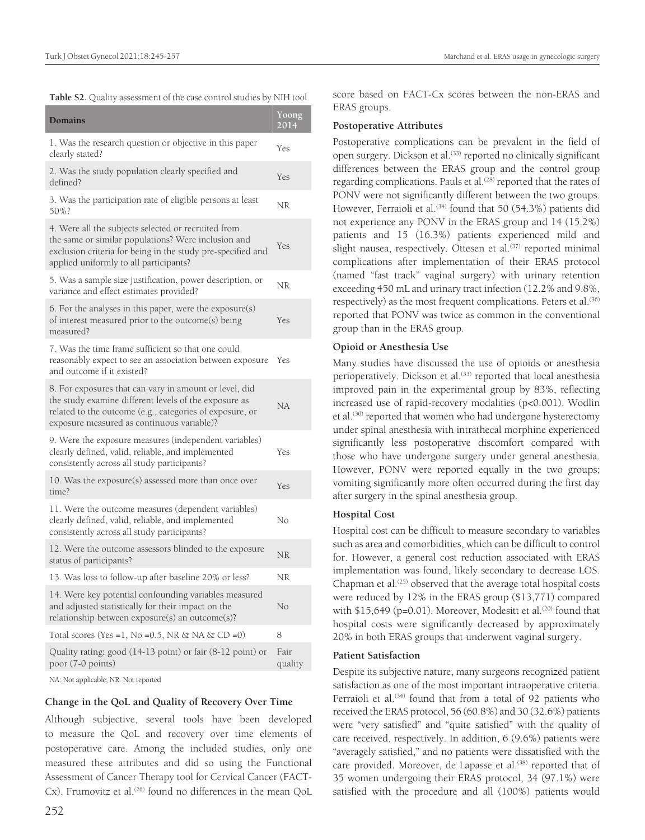Table S2. Quality assessment of the case control studies by NIH tool

| Domains                                                                                                                                                                                                                   | Yoong<br>2014   |
|---------------------------------------------------------------------------------------------------------------------------------------------------------------------------------------------------------------------------|-----------------|
| 1. Was the research question or objective in this paper<br>clearly stated?                                                                                                                                                | Yes             |
| 2. Was the study population clearly specified and<br>defined?                                                                                                                                                             | Yes             |
| 3. Was the participation rate of eligible persons at least<br>50%?                                                                                                                                                        | NR              |
| 4. Were all the subjects selected or recruited from<br>the same or similar populations? Were inclusion and<br>exclusion criteria for being in the study pre-specified and<br>applied uniformly to all participants?       | Yes             |
| 5. Was a sample size justification, power description, or<br>variance and effect estimates provided?                                                                                                                      | NR              |
| 6. For the analyses in this paper, were the exposure(s)<br>of interest measured prior to the outcome(s) being<br>measured?                                                                                                | Yes             |
| 7. Was the time frame sufficient so that one could<br>reasonably expect to see an association between exposure<br>and outcome if it existed?                                                                              | Yes             |
| 8. For exposures that can vary in amount or level, did<br>the study examine different levels of the exposure as<br>related to the outcome (e.g., categories of exposure, or<br>exposure measured as continuous variable)? | NA              |
| 9. Were the exposure measures (independent variables)<br>clearly defined, valid, reliable, and implemented<br>consistently across all study participants?                                                                 | Yes             |
| 10. Was the exposure(s) assessed more than once over<br>time?                                                                                                                                                             | Yes             |
| 11. Were the outcome measures (dependent variables)<br>clearly defined, valid, reliable, and implemented<br>consistently across all study participants?                                                                   | No              |
| 12. Were the outcome assessors blinded to the exposure<br>status of participants?                                                                                                                                         | NR              |
| 13. Was loss to follow-up after baseline 20% or less?                                                                                                                                                                     | NR              |
| 14. Were key potential confounding variables measured<br>and adjusted statistically for their impact on the<br>relationship between exposure(s) an outcome(s)?                                                            | No              |
| Total scores (Yes = 1, No = $0.5$ , NR & NA & CD = $0$ )                                                                                                                                                                  | 8               |
| Quality rating: good (14-13 point) or fair (8-12 point) or<br>poor (7-0 points)                                                                                                                                           | Fair<br>quality |
|                                                                                                                                                                                                                           |                 |

NA: Not applicable, NR: Not reported

## **Change in the QoL and Quality of Recovery Over Time**

Although subjective, several tools have been developed to measure the QoL and recovery over time elements of postoperative care. Among the included studies, only one measured these attributes and did so using the Functional Assessment of Cancer Therapy tool for Cervical Cancer (FACT- $Cx$ ). Frumovitz et al.<sup> $(26)$ </sup> found no differences in the mean QoL score based on FACT-Cx scores between the non-ERAS and ERAS groups.

## **Postoperative Attributes**

Postoperative complications can be prevalent in the field of open surgery. Dickson et al.<sup>(33)</sup> reported no clinically significant differences between the ERAS group and the control group regarding complications. Pauls et al.<sup>(28)</sup> reported that the rates of PONV were not significantly different between the two groups. However, Ferraioli et al.<sup>(34)</sup> found that 50 (54.3%) patients did not experience any PONV in the ERAS group and 14 (15.2%) patients and 15 (16.3%) patients experienced mild and slight nausea, respectively. Ottesen et al.<sup>(37)</sup> reported minimal complications after implementation of their ERAS protocol (named "fast track" vaginal surgery) with urinary retention exceeding 450 mL and urinary tract infection (12.2% and 9.8%, respectively) as the most frequent complications. Peters et al.<sup>(36)</sup> reported that PONV was twice as common in the conventional group than in the ERAS group.

## **Opioid or Anesthesia Use**

Many studies have discussed the use of opioids or anesthesia perioperatively. Dickson et al.<sup>(33)</sup> reported that local anesthesia improved pain in the experimental group by 83%, reflecting increased use of rapid-recovery modalities (p<0.001). Wodlin et al.<sup>(30)</sup> reported that women who had undergone hysterectomy under spinal anesthesia with intrathecal morphine experienced significantly less postoperative discomfort compared with those who have undergone surgery under general anesthesia. However, PONV were reported equally in the two groups; vomiting significantly more often occurred during the first day after surgery in the spinal anesthesia group.

## **Hospital Cost**

Hospital cost can be difficult to measure secondary to variables such as area and comorbidities, which can be difficult to control for. However, a general cost reduction associated with ERAS implementation was found, likely secondary to decrease LOS. Chapman et al. $(25)$  observed that the average total hospital costs were reduced by 12% in the ERAS group (\$13,771) compared with \$15,649 ( $p=0.01$ ). Moreover, Modesitt et al.<sup>(20)</sup> found that hospital costs were significantly decreased by approximately 20% in both ERAS groups that underwent vaginal surgery.

## **Patient Satisfaction**

Despite its subjective nature, many surgeons recognized patient satisfaction as one of the most important intraoperative criteria. Ferraioli et al.<sup>(34)</sup> found that from a total of 92 patients who received the ERAS protocol, 56 (60.8%) and 30 (32.6%) patients were "very satisfied" and "quite satisfied" with the quality of care received, respectively. In addition, 6 (9.6%) patients were "averagely satisfied," and no patients were dissatisfied with the care provided. Moreover, de Lapasse et al.<sup>(38)</sup> reported that of 35 women undergoing their ERAS protocol, 34 (97.1%) were satisfied with the procedure and all (100%) patients would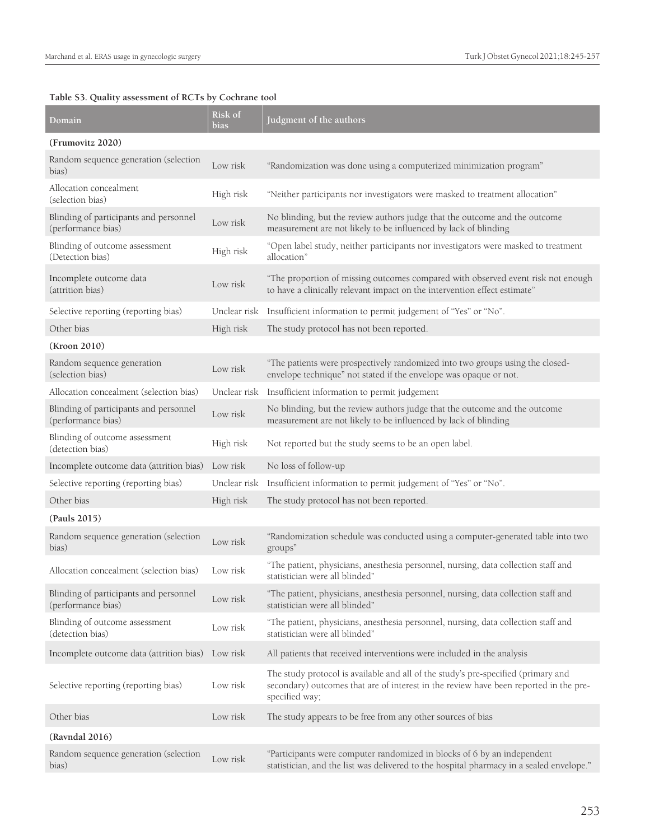# **Table S3. Quality assessment of RCTs by Cochrane tool**

| Domain                                                       | Risk of<br>bias | Judgment of the authors                                                                                                                                                                      |
|--------------------------------------------------------------|-----------------|----------------------------------------------------------------------------------------------------------------------------------------------------------------------------------------------|
| (Frumovitz 2020)                                             |                 |                                                                                                                                                                                              |
| Random sequence generation (selection<br>bias)               | Low risk        | "Randomization was done using a computerized minimization program"                                                                                                                           |
| Allocation concealment<br>(selection bias)                   | High risk       | "Neither participants nor investigators were masked to treatment allocation"                                                                                                                 |
| Blinding of participants and personnel<br>(performance bias) | Low risk        | No blinding, but the review authors judge that the outcome and the outcome<br>measurement are not likely to be influenced by lack of blinding                                                |
| Blinding of outcome assessment<br>(Detection bias)           | High risk       | "Open label study, neither participants nor investigators were masked to treatment<br>allocation"                                                                                            |
| Incomplete outcome data<br>(attrition bias)                  | Low risk        | "The proportion of missing outcomes compared with observed event risk not enough<br>to have a clinically relevant impact on the intervention effect estimate"                                |
| Selective reporting (reporting bias)                         | Unclear risk    | Insufficient information to permit judgement of "Yes" or "No".                                                                                                                               |
| Other bias                                                   | High risk       | The study protocol has not been reported.                                                                                                                                                    |
| (Kroon 2010)                                                 |                 |                                                                                                                                                                                              |
| Random sequence generation<br>(selection bias)               | Low risk        | "The patients were prospectively randomized into two groups using the closed-<br>envelope technique" not stated if the envelope was opaque or not.                                           |
| Allocation concealment (selection bias)                      | Unclear risk    | Insufficient information to permit judgement                                                                                                                                                 |
| Blinding of participants and personnel<br>(performance bias) | Low risk        | No blinding, but the review authors judge that the outcome and the outcome<br>measurement are not likely to be influenced by lack of blinding                                                |
| Blinding of outcome assessment<br>(detection bias)           | High risk       | Not reported but the study seems to be an open label.                                                                                                                                        |
| Incomplete outcome data (attrition bias)                     | Low risk        | No loss of follow-up                                                                                                                                                                         |
| Selective reporting (reporting bias)                         | Unclear risk    | Insufficient information to permit judgement of "Yes" or "No".                                                                                                                               |
| Other bias                                                   | High risk       | The study protocol has not been reported.                                                                                                                                                    |
| (Pauls 2015)                                                 |                 |                                                                                                                                                                                              |
| Random sequence generation (selection<br>bias)               | Low risk        | "Randomization schedule was conducted using a computer-generated table into two<br>groups"                                                                                                   |
| Allocation concealment (selection bias)                      | Low risk        | "The patient, physicians, anesthesia personnel, nursing, data collection staff and<br>statistician were all blinded"                                                                         |
| Blinding of participants and personnel<br>(performance bias) | Low risk        | "The patient, physicians, anesthesia personnel, nursing, data collection staff and<br>statistician were all blinded"                                                                         |
| Blinding of outcome assessment<br>(detection bias)           | Low risk        | "The patient, physicians, anesthesia personnel, nursing, data collection staff and<br>statistician were all blinded"                                                                         |
| Incomplete outcome data (attrition bias) Low risk            |                 | All patients that received interventions were included in the analysis                                                                                                                       |
| Selective reporting (reporting bias)                         | Low risk        | The study protocol is available and all of the study's pre-specified (primary and<br>secondary) outcomes that are of interest in the review have been reported in the pre-<br>specified way; |
| Other bias                                                   | Low risk        | The study appears to be free from any other sources of bias                                                                                                                                  |
| (Ravndal 2016)                                               |                 |                                                                                                                                                                                              |
| Random sequence generation (selection<br>bias)               | Low risk        | "Participants were computer randomized in blocks of 6 by an independent<br>statistician, and the list was delivered to the hospital pharmacy in a sealed envelope."                          |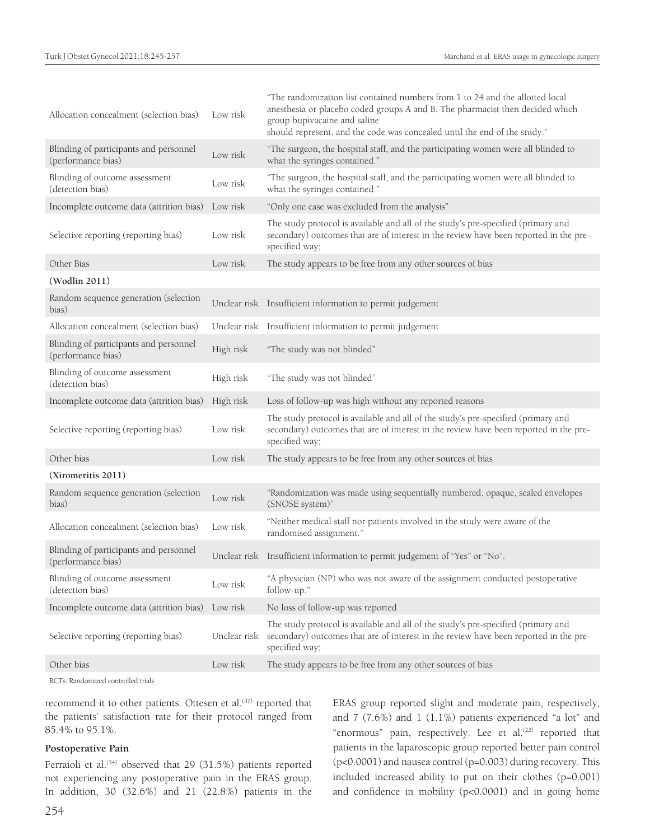| Allocation concealment (selection bias)                      | Low risk     | "The randomization list contained numbers from 1 to 24 and the allotted local<br>anesthesia or placebo coded groups A and B. The pharmacist then decided which<br>group bupivacaine and saline<br>should represent, and the code was concealed until the end of the study." |
|--------------------------------------------------------------|--------------|-----------------------------------------------------------------------------------------------------------------------------------------------------------------------------------------------------------------------------------------------------------------------------|
| Blinding of participants and personnel<br>(performance bias) | Low risk     | "The surgeon, the hospital staff, and the participating women were all blinded to<br>what the syringes contained."                                                                                                                                                          |
| Blinding of outcome assessment<br>(detection bias)           | Low risk     | "The surgeon, the hospital staff, and the participating women were all blinded to<br>what the syringes contained."                                                                                                                                                          |
| Incomplete outcome data (attrition bias) Low risk            |              | "Only one case was excluded from the analysis"                                                                                                                                                                                                                              |
| Selective reporting (reporting bias)                         | Low risk     | The study protocol is available and all of the study's pre-specified (primary and<br>secondary) outcomes that are of interest in the review have been reported in the pre-<br>specified way;                                                                                |
| Other Bias                                                   | Low risk     | The study appears to be free from any other sources of bias                                                                                                                                                                                                                 |
| (Wodlin 2011)                                                |              |                                                                                                                                                                                                                                                                             |
| Random sequence generation (selection<br>bias)               |              | Unclear risk Insufficient information to permit judgement                                                                                                                                                                                                                   |
| Allocation concealment (selection bias)                      |              | Unclear risk Insufficient information to permit judgement                                                                                                                                                                                                                   |
| Blinding of participants and personnel<br>(performance bias) | High risk    | "The study was not blinded"                                                                                                                                                                                                                                                 |
| Blinding of outcome assessment<br>(detection bias)           | High risk    | "The study was not blinded"                                                                                                                                                                                                                                                 |
| Incomplete outcome data (attrition bias)                     | High risk    | Loss of follow-up was high without any reported reasons                                                                                                                                                                                                                     |
| Selective reporting (reporting bias)                         | Low risk     | The study protocol is available and all of the study's pre-specified (primary and<br>secondary) outcomes that are of interest in the review have been reported in the pre-<br>specified way;                                                                                |
| Other bias                                                   | Low risk     | The study appears to be free from any other sources of bias                                                                                                                                                                                                                 |
| (Xiromeritis 2011)                                           |              |                                                                                                                                                                                                                                                                             |
| Random sequence generation (selection<br>bias)               | Low risk     | "Randomization was made using sequentially numbered, opaque, sealed envelopes<br>(SNOSE system)"                                                                                                                                                                            |
| Allocation concealment (selection bias)                      | Low risk     | "Neither medical staff nor patients involved in the study were aware of the<br>randomised assignment."                                                                                                                                                                      |
| Blinding of participants and personnel<br>(performance bias) |              | Unclear risk Insufficient information to permit judgement of "Yes" or "No".                                                                                                                                                                                                 |
| Blinding of outcome assessment<br>(detection bias)           | Low risk     | "A physician (NP) who was not aware of the assignment conducted postoperative<br>follow-up."                                                                                                                                                                                |
| Incomplete outcome data (attrition bias) Low risk            |              | No loss of follow-up was reported                                                                                                                                                                                                                                           |
| Selective reporting (reporting bias)                         | Unclear risk | The study protocol is available and all of the study's pre-specified (primary and<br>secondary) outcomes that are of interest in the review have been reported in the pre-<br>specified way;                                                                                |
| Other bias                                                   | Low risk     | The study appears to be free from any other sources of bias                                                                                                                                                                                                                 |

RCTs: Randomized controlled trials

recommend it to other patients. Ottesen et al.<sup>(37)</sup> reported that the patients' satisfaction rate for their protocol ranged from 85.4% to 95.1%.

### **Postoperative Pain**

Ferraioli et al.<sup>(34)</sup> observed that 29 (31.5%) patients reported not experiencing any postoperative pain in the ERAS group. In addition, 30 (32.6%) and 21 (22.8%) patients in the

ERAS group reported slight and moderate pain, respectively, and 7 (7.6%) and 1 (1.1%) patients experienced "a lot" and "enormous" pain, respectively. Lee et al.<sup>(22)</sup> reported that patients in the laparoscopic group reported better pain control (p<0.0001) and nausea control (p=0.003) during recovery. This included increased ability to put on their clothes (p=0.001) and confidence in mobility (p<0.0001) and in going home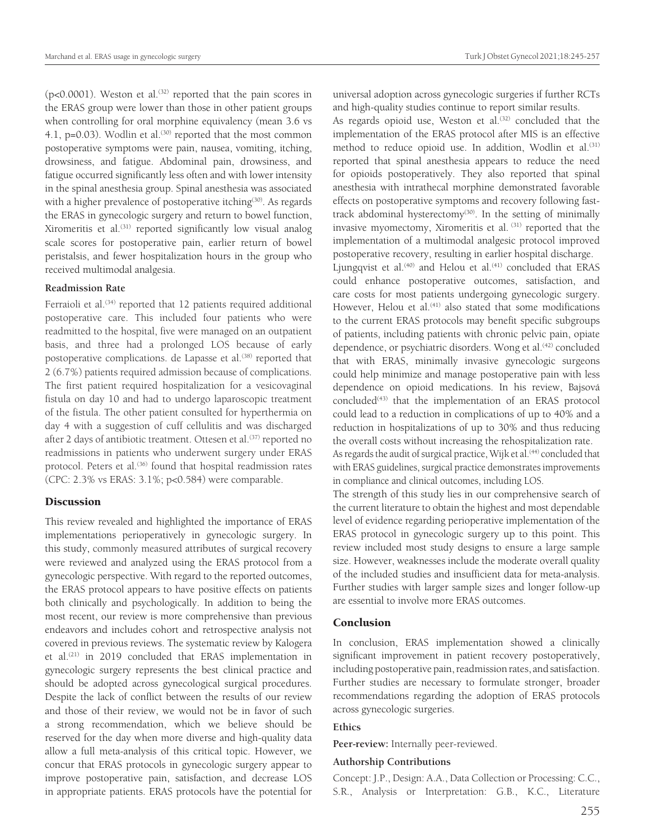$(p<0.0001)$ . Weston et al.<sup>(32)</sup> reported that the pain scores in the ERAS group were lower than those in other patient groups when controlling for oral morphine equivalency (mean 3.6 vs 4.1,  $p=0.03$ ). Wodlin et al.<sup>(30)</sup> reported that the most common postoperative symptoms were pain, nausea, vomiting, itching, drowsiness, and fatigue. Abdominal pain, drowsiness, and fatigue occurred significantly less often and with lower intensity in the spinal anesthesia group. Spinal anesthesia was associated with a higher prevalence of postoperative itching<sup>(30)</sup>. As regards the ERAS in gynecologic surgery and return to bowel function, Xiromeritis et al.<sup>(31)</sup> reported significantly low visual analog scale scores for postoperative pain, earlier return of bowel peristalsis, and fewer hospitalization hours in the group who received multimodal analgesia.

## **Readmission Rate**

Ferraioli et al.<sup>(34)</sup> reported that 12 patients required additional postoperative care. This included four patients who were readmitted to the hospital, five were managed on an outpatient basis, and three had a prolonged LOS because of early postoperative complications. de Lapasse et al.<sup>(38)</sup> reported that 2 (6.7%) patients required admission because of complications. The first patient required hospitalization for a vesicovaginal fistula on day 10 and had to undergo laparoscopic treatment of the fistula. The other patient consulted for hyperthermia on day 4 with a suggestion of cuff cellulitis and was discharged after 2 days of antibiotic treatment. Ottesen et al.<sup>(37)</sup> reported no readmissions in patients who underwent surgery under ERAS protocol. Peters et al.<sup>(36)</sup> found that hospital readmission rates (CPC: 2.3% vs ERAS: 3.1%; p<0.584) were comparable.

## **Discussion**

This review revealed and highlighted the importance of ERAS implementations perioperatively in gynecologic surgery. In this study, commonly measured attributes of surgical recovery were reviewed and analyzed using the ERAS protocol from a gynecologic perspective. With regard to the reported outcomes, the ERAS protocol appears to have positive effects on patients both clinically and psychologically. In addition to being the most recent, our review is more comprehensive than previous endeavors and includes cohort and retrospective analysis not covered in previous reviews. The systematic review by Kalogera et al.(21) in 2019 concluded that ERAS implementation in gynecologic surgery represents the best clinical practice and should be adopted across gynecological surgical procedures. Despite the lack of conflict between the results of our review and those of their review, we would not be in favor of such a strong recommendation, which we believe should be reserved for the day when more diverse and high-quality data allow a full meta-analysis of this critical topic. However, we concur that ERAS protocols in gynecologic surgery appear to improve postoperative pain, satisfaction, and decrease LOS in appropriate patients. ERAS protocols have the potential for universal adoption across gynecologic surgeries if further RCTs and high-quality studies continue to report similar results.

As regards opioid use, Weston et al.<sup>(32)</sup> concluded that the implementation of the ERAS protocol after MIS is an effective method to reduce opioid use. In addition, Wodlin et al.<sup>(31)</sup> reported that spinal anesthesia appears to reduce the need for opioids postoperatively. They also reported that spinal anesthesia with intrathecal morphine demonstrated favorable effects on postoperative symptoms and recovery following fasttrack abdominal hysterectomy<sup>(30)</sup>. In the setting of minimally invasive myomectomy, Xiromeritis et al.  $(31)$  reported that the implementation of a multimodal analgesic protocol improved postoperative recovery, resulting in earlier hospital discharge.

Ljungqvist et al.<sup>(40)</sup> and Helou et al.<sup>(41)</sup> concluded that ERAS could enhance postoperative outcomes, satisfaction, and care costs for most patients undergoing gynecologic surgery. However, Helou et al.<sup>(41)</sup> also stated that some modifications to the current ERAS protocols may benefit specific subgroups of patients, including patients with chronic pelvic pain, opiate dependence, or psychiatric disorders. Wong et al.<sup>(42)</sup> concluded that with ERAS, minimally invasive gynecologic surgeons could help minimize and manage postoperative pain with less dependence on opioid medications. In his review, Bajsová  $concluded$ <sup> $(43)$ </sup> that the implementation of an ERAS protocol could lead to a reduction in complications of up to 40% and a reduction in hospitalizations of up to 30% and thus reducing the overall costs without increasing the rehospitalization rate. As regards the audit of surgical practice, Wijk et al.<sup>(44)</sup> concluded that

with ERAS guidelines, surgical practice demonstrates improvements in compliance and clinical outcomes, including LOS.

The strength of this study lies in our comprehensive search of the current literature to obtain the highest and most dependable level of evidence regarding perioperative implementation of the ERAS protocol in gynecologic surgery up to this point. This review included most study designs to ensure a large sample size. However, weaknesses include the moderate overall quality of the included studies and insufficient data for meta-analysis. Further studies with larger sample sizes and longer follow-up are essential to involve more ERAS outcomes.

## **Conclusion**

In conclusion, ERAS implementation showed a clinically significant improvement in patient recovery postoperatively, including postoperative pain, readmission rates, and satisfaction. Further studies are necessary to formulate stronger, broader recommendations regarding the adoption of ERAS protocols across gynecologic surgeries.

#### **Ethics**

**Peer-review:** Internally peer-reviewed.

### **Authorship Contributions**

Concept: J.P., Design: A.A., Data Collection or Processing: C.C., S.R., Analysis or Interpretation: G.B., K.C., Literature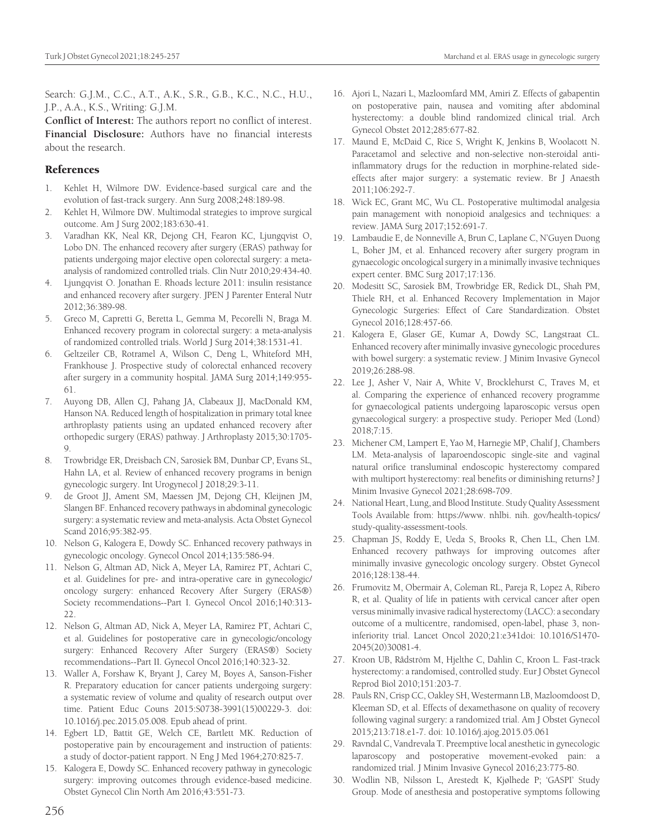Search: G.J.M., C.C., A.T., A.K., S.R., G.B., K.C., N.C., H.U., J.P., A.A., K.S., Writing: G.J.M.

**Conflict of Interest:** The authors report no conflict of interest. **Financial Disclosure:** Authors have no financial interests about the research.

## References

- 1. Kehlet H, Wilmore DW. Evidence-based surgical care and the evolution of fast-track surgery. Ann Surg 2008;248:189-98.
- 2. Kehlet H, Wilmore DW. Multimodal strategies to improve surgical outcome. Am J Surg 2002;183:630-41.
- 3. Varadhan KK, Neal KR, Dejong CH, Fearon KC, Ljungqvist O, Lobo DN. The enhanced recovery after surgery (ERAS) pathway for patients undergoing major elective open colorectal surgery: a metaanalysis of randomized controlled trials. Clin Nutr 2010;29:434-40.
- 4. Ljungqvist O. Jonathan E. Rhoads lecture 2011: insulin resistance and enhanced recovery after surgery. JPEN J Parenter Enteral Nutr 2012;36:389-98.
- 5. Greco M, Capretti G, Beretta L, Gemma M, Pecorelli N, Braga M. Enhanced recovery program in colorectal surgery: a meta-analysis of randomized controlled trials. World J Surg 2014;38:1531-41.
- 6. Geltzeiler CB, Rotramel A, Wilson C, Deng L, Whiteford MH, Frankhouse J. Prospective study of colorectal enhanced recovery after surgery in a community hospital. JAMA Surg 2014;149:955- 61.
- 7. Auyong DB, Allen CJ, Pahang JA, Clabeaux JJ, MacDonald KM, Hanson NA. Reduced length of hospitalization in primary total knee arthroplasty patients using an updated enhanced recovery after orthopedic surgery (ERAS) pathway. J Arthroplasty 2015;30:1705- 9.
- 8. Trowbridge ER, Dreisbach CN, Sarosiek BM, Dunbar CP, Evans SL, Hahn LA, et al. Review of enhanced recovery programs in benign gynecologic surgery. Int Urogynecol J 2018;29:3-11.
- 9. de Groot JJ, Ament SM, Maessen JM, Dejong CH, Kleijnen JM, Slangen BF. Enhanced recovery pathways in abdominal gynecologic surgery: a systematic review and meta-analysis. Acta Obstet Gynecol Scand 2016;95:382-95.
- 10. Nelson G, Kalogera E, Dowdy SC. Enhanced recovery pathways in gynecologic oncology. Gynecol Oncol 2014;135:586-94.
- 11. Nelson G, Altman AD, Nick A, Meyer LA, Ramirez PT, Achtari C, et al. Guidelines for pre- and intra-operative care in gynecologic/ oncology surgery: enhanced Recovery After Surgery (ERAS®) Society recommendations--Part I. Gynecol Oncol 2016;140:313- 22.
- 12. Nelson G, Altman AD, Nick A, Meyer LA, Ramirez PT, Achtari C, et al. Guidelines for postoperative care in gynecologic/oncology surgery: Enhanced Recovery After Surgery (ERAS®) Society recommendations--Part II. Gynecol Oncol 2016;140:323-32.
- 13. Waller A, Forshaw K, Bryant J, Carey M, Boyes A, Sanson-Fisher R. Preparatory education for cancer patients undergoing surgery: a systematic review of volume and quality of research output over time. Patient Educ Couns 2015:S0738-3991(15)00229-3. doi: 10.1016/j.pec.2015.05.008. Epub ahead of print.
- 14. Egbert LD, Battit GE, Welch CE, Bartlett MK. Reduction of postoperative pain by encouragement and instruction of patients: a study of doctor-patient rapport. N Eng J Med 1964;270:825-7.
- 15. Kalogera E, Dowdy SC. Enhanced recovery pathway in gynecologic surgery: improving outcomes through evidence-based medicine. Obstet Gynecol Clin North Am 2016;43:551-73.
- 16. Ajori L, Nazari L, Mazloomfard MM, Amiri Z. Effects of gabapentin on postoperative pain, nausea and vomiting after abdominal hysterectomy: a double blind randomized clinical trial. Arch Gynecol Obstet 2012;285:677-82.
- 17. Maund E, McDaid C, Rice S, Wright K, Jenkins B, Woolacott N. Paracetamol and selective and non-selective non-steroidal antiinflammatory drugs for the reduction in morphine-related sideeffects after major surgery: a systematic review. Br J Anaesth 2011;106:292-7.
- 18. Wick EC, Grant MC, Wu CL. Postoperative multimodal analgesia pain management with nonopioid analgesics and techniques: a review. JAMA Surg 2017;152:691-7.
- 19. Lambaudie E, de Nonneville A, Brun C, Laplane C, N'Guyen Duong L, Boher JM, et al. Enhanced recovery after surgery program in gynaecologic oncological surgery in a minimally invasive techniques expert center. BMC Surg 2017;17:136.
- 20. Modesitt SC, Sarosiek BM, Trowbridge ER, Redick DL, Shah PM, Thiele RH, et al. Enhanced Recovery Implementation in Major Gynecologic Surgeries: Effect of Care Standardization. Obstet Gynecol 2016;128:457-66.
- 21. Kalogera E, Glaser GE, Kumar A, Dowdy SC, Langstraat CL. Enhanced recovery after minimally invasive gynecologic procedures with bowel surgery: a systematic review. J Minim Invasive Gynecol 2019;26:288-98.
- 22. Lee J, Asher V, Nair A, White V, Brocklehurst C, Traves M, et al. Comparing the experience of enhanced recovery programme for gynaecological patients undergoing laparoscopic versus open gynaecological surgery: a prospective study. Perioper Med (Lond) 2018;7:15.
- 23. Michener CM, Lampert E, Yao M, Harnegie MP, Chalif J, Chambers LM. Meta-analysis of laparoendoscopic single-site and vaginal natural orifice transluminal endoscopic hysterectomy compared with multiport hysterectomy: real benefits or diminishing returns? J Minim Invasive Gynecol 2021;28:698-709.
- 24. National Heart, Lung, and Blood Institute. Study Quality Assessment Tools Available from: https://www. nhlbi. nih. gov/health-topics/ study-quality-assessment-tools.
- 25. Chapman JS, Roddy E, Ueda S, Brooks R, Chen LL, Chen LM. Enhanced recovery pathways for improving outcomes after minimally invasive gynecologic oncology surgery. Obstet Gynecol 2016;128:138-44.
- 26. Frumovitz M, Obermair A, Coleman RL, Pareja R, Lopez A, Ribero R, et al. Quality of life in patients with cervical cancer after open versus minimally invasive radical hysterectomy (LACC): a secondary outcome of a multicentre, randomised, open-label, phase 3, noninferiority trial. Lancet Oncol 2020;21:e341doi: 10.1016/S1470- 2045(20)30081-4.
- 27. Kroon UB, Rådström M, Hjelthe C, Dahlin C, Kroon L. Fast-track hysterectomy: a randomised, controlled study. Eur J Obstet Gynecol Reprod Biol 2010;151:203-7.
- 28. Pauls RN, Crisp CC, Oakley SH, Westermann LB, Mazloomdoost D, Kleeman SD, et al. Effects of dexamethasone on quality of recovery following vaginal surgery: a randomized trial. Am J Obstet Gynecol 2015;213:718.e1-7. doi: 10.1016/j.ajog.2015.05.061
- 29. Ravndal C, Vandrevala T. Preemptive local anesthetic in gynecologic laparoscopy and postoperative movement-evoked pain: a randomized trial. J Minim Invasive Gynecol 2016;23:775-80.
- 30. Wodlin NB, Nilsson L, Arestedt K, Kjølhede P; 'GASPI' Study Group. Mode of anesthesia and postoperative symptoms following